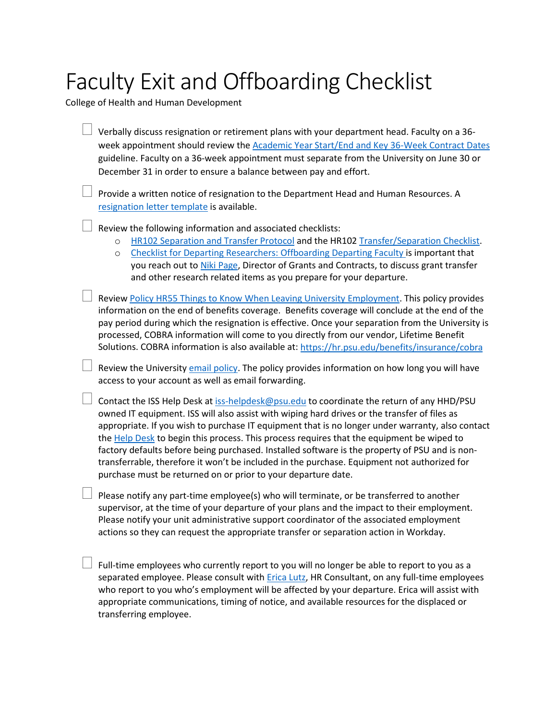## Faculty Exit and Offboarding Checklist

College of Health and Human Development

| Verbally discuss resignation or retirement plans with your department head. Faculty on a 36-<br>week appointment should review the Academic Year Start/End and Key 36-Week Contract Dates<br>guideline. Faculty on a 36-week appointment must separate from the University on June 30 or<br>December 31 in order to ensure a balance between pay and effort.                                                                                                                                                                                                                                                                                                 |
|--------------------------------------------------------------------------------------------------------------------------------------------------------------------------------------------------------------------------------------------------------------------------------------------------------------------------------------------------------------------------------------------------------------------------------------------------------------------------------------------------------------------------------------------------------------------------------------------------------------------------------------------------------------|
| Provide a written notice of resignation to the Department Head and Human Resources. A<br>resignation letter template is available.                                                                                                                                                                                                                                                                                                                                                                                                                                                                                                                           |
| Review the following information and associated checklists:<br>HR102 Separation and Transfer Protocol and the HR102 Transfer/Separation Checklist.<br>$\circ$<br>Checklist for Departing Researchers: Offboarding Departing Faculty is important that<br>$\circ$<br>you reach out to Niki Page, Director of Grants and Contracts, to discuss grant transfer<br>and other research related items as you prepare for your departure.                                                                                                                                                                                                                           |
| Review Policy HR55 Things to Know When Leaving University Employment. This policy provides<br>information on the end of benefits coverage. Benefits coverage will conclude at the end of the<br>pay period during which the resignation is effective. Once your separation from the University is<br>processed, COBRA information will come to you directly from our vendor, Lifetime Benefit<br>Solutions. COBRA information is also available at: https://hr.psu.edu/benefits/insurance/cobra                                                                                                                                                              |
| Review the University email policy. The policy provides information on how long you will have<br>access to your account as well as email forwarding.                                                                                                                                                                                                                                                                                                                                                                                                                                                                                                         |
| Contact the ISS Help Desk at iss-helpdesk@psu.edu to coordinate the return of any HHD/PSU<br>owned IT equipment. ISS will also assist with wiping hard drives or the transfer of files as<br>appropriate. If you wish to purchase IT equipment that is no longer under warranty, also contact<br>the Help Desk to begin this process. This process requires that the equipment be wiped to<br>factory defaults before being purchased. Installed software is the property of PSU and is non-<br>transferrable, therefore it won't be included in the purchase. Equipment not authorized for<br>purchase must be returned on or prior to your departure date. |
| Please notify any part-time employee(s) who will terminate, or be transferred to another<br>supervisor, at the time of your departure of your plans and the impact to their employment.<br>Please notify your unit administrative support coordinator of the associated employment<br>actions so they can request the appropriate transfer or separation action in Workday.                                                                                                                                                                                                                                                                                  |
| Full-time employees who currently report to you will no longer be able to report to you as a<br>separated emplovee. Please consult with Erica Lutz. HR Consultant, on any full-time emplovees                                                                                                                                                                                                                                                                                                                                                                                                                                                                |

separated employee. Please consult with **Erica Lutz**, HR Consultant, on any full-time employees who report to you who's employment will be affected by your departure. Erica will assist with appropriate communications, timing of notice, and available resources for the displaced or transferring employee.